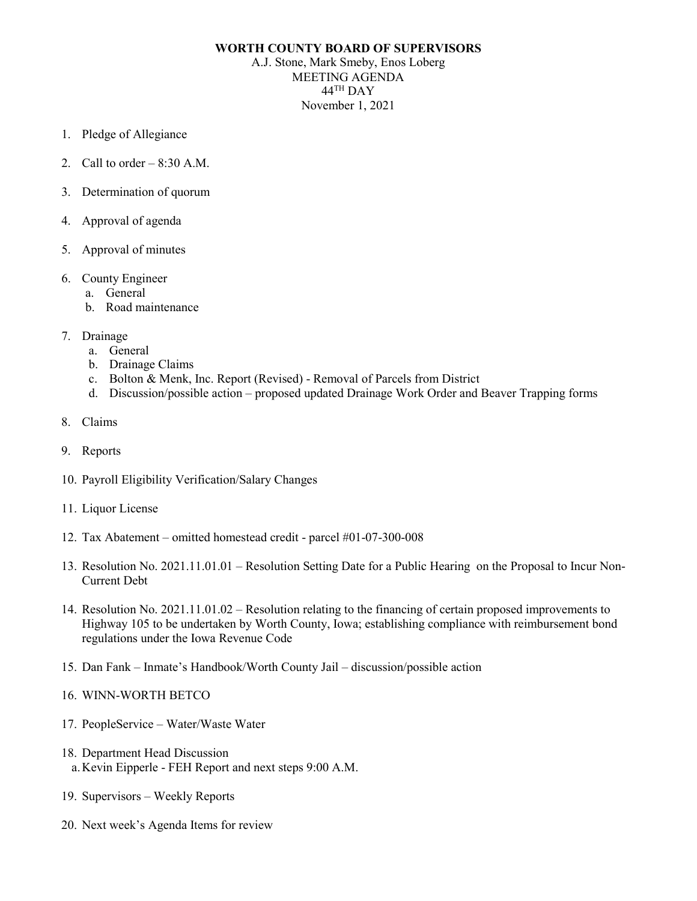## **WORTH COUNTY BOARD OF SUPERVISORS**

A.J. Stone, Mark Smeby, Enos Loberg MEETING AGENDA 44TH DAY November 1, 2021

- 1. Pledge of Allegiance
- 2. Call to order  $-8:30$  A.M.
- 3. Determination of quorum
- 4. Approval of agenda
- 5. Approval of minutes
- 6. County Engineer
	- a. General
	- b. Road maintenance
- 7. Drainage
	- a. General
	- b. Drainage Claims
	- c. Bolton & Menk, Inc. Report (Revised) Removal of Parcels from District
	- d. Discussion/possible action proposed updated Drainage Work Order and Beaver Trapping forms
- 8. Claims
- 9. Reports
- 10. Payroll Eligibility Verification/Salary Changes
- 11. Liquor License
- 12. Tax Abatement omitted homestead credit parcel #01-07-300-008
- 13. Resolution No. 2021.11.01.01 Resolution Setting Date for a Public Hearing on the Proposal to Incur Non-Current Debt
- 14. Resolution No. 2021.11.01.02 Resolution relating to the financing of certain proposed improvements to Highway 105 to be undertaken by Worth County, Iowa; establishing compliance with reimbursement bond regulations under the Iowa Revenue Code
- 15. Dan Fank Inmate's Handbook/Worth County Jail discussion/possible action

## 16. WINN-WORTH BETCO

- 17. PeopleService Water/Waste Water
- 18. Department Head Discussion a.Kevin Eipperle - FEH Report and next steps 9:00 A.M.
- 19. Supervisors Weekly Reports
- 20. Next week's Agenda Items for review